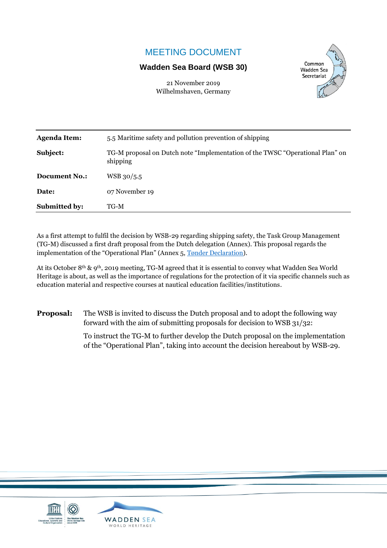# MEETING DOCUMENT

### **Wadden Sea Board (WSB 30)**

Common **Wadden Sea** Secretariat

21 November 2019 Wilhelmshaven, Germany

| <b>Agenda Item:</b>  | 5.5 Maritime safety and pollution prevention of shipping                                  |  |
|----------------------|-------------------------------------------------------------------------------------------|--|
| Subject:             | TG-M proposal on Dutch note "Implementation of the TWSC "Operational Plan" on<br>shipping |  |
| <b>Document No.:</b> | WSB 30/5.5                                                                                |  |
| Date:                | 07 November 19                                                                            |  |
| <b>Submitted by:</b> | TG-M                                                                                      |  |

As a first attempt to fulfil the decision by WSB-29 regarding shipping safety, the Task Group Management (TG-M) discussed a first draft proposal from the Dutch delegation (Annex). This proposal regards the implementation of the "Operational Plan" (Annex 5, [Tønder Declaration\)](https://www.waddensea-worldheritage.org/sites/default/files/2014_toender%20declaration.pdf).

At its October 8th & 9th, 2019 meeting, TG-M agreed that it is essential to convey what Wadden Sea World Heritage is about, as well as the importance of regulations for the protection of it via specific channels such as education material and respective courses at nautical education facilities/institutions.

**Proposal:** The WSB is invited to discuss the Dutch proposal and to adopt the following way forward with the aim of submitting proposals for decision to WSB 31/32:

> To instruct the TG-M to further develop the Dutch proposal on the implementation of the "Operational Plan", taking into account the decision hereabout by WSB-29.

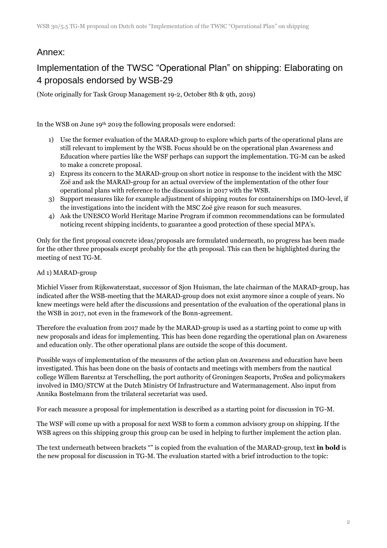## Annex:

# Implementation of the TWSC "Operational Plan" on shipping: Elaborating on 4 proposals endorsed by WSB-29

(Note originally for Task Group Management 19-2, October 8th & 9th, 2019)

In the WSB on June 19th 2019 the following proposals were endorsed:

- 1) Use the former evaluation of the MARAD-group to explore which parts of the operational plans are still relevant to implement by the WSB. Focus should be on the operational plan Awareness and Education where parties like the WSF perhaps can support the implementation. TG-M can be asked to make a concrete proposal.
- 2) Express its concern to the MARAD-group on short notice in response to the incident with the MSC Zoë and ask the MARAD-group for an actual overview of the implementation of the other four operational plans with reference to the discussions in 2017 with the WSB.
- 3) Support measures like for example adjustment of shipping routes for containerships on IMO-level, if the investigations into the incident with the MSC Zoë give reason for such measures.
- 4) Ask the UNESCO World Heritage Marine Program if common recommendations can be formulated noticing recent shipping incidents, to guarantee a good protection of these special MPA's.

Only for the first proposal concrete ideas/proposals are formulated underneath, no progress has been made for the other three proposals except probably for the 4th proposal. This can then be highlighted during the meeting of next TG-M.

### Ad 1) MARAD-group

Michiel Visser from Rijkswaterstaat, successor of Sjon Huisman, the late chairman of the MARAD-group, has indicated after the WSB-meeting that the MARAD-group does not exist anymore since a couple of years. No knew meetings were held after the discussions and presentation of the evaluation of the operational plans in the WSB in 2017, not even in the framework of the Bonn-agreement.

Therefore the evaluation from 2017 made by the MARAD-group is used as a starting point to come up with new proposals and ideas for implementing. This has been done regarding the operational plan on Awareness and education only. The other operational plans are outside the scope of this document.

Possible ways of implementation of the measures of the action plan on Awareness and education have been investigated. This has been done on the basis of contacts and meetings with members from the nautical college Willem Barentsz at Terschelling, the port authority of Groningen Seaports, ProSea and policymakers involved in IMO/STCW at the Dutch Ministry Of Infrastructure and Watermanagement. Also input from Annika Bostelmann from the trilateral secretariat was used.

For each measure a proposal for implementation is described as a starting point for discussion in TG-M.

The WSF will come up with a proposal for next WSB to form a common advisory group on shipping. If the WSB agrees on this shipping group this group can be used in helping to further implement the action plan.

The text underneath between brackets "" is copied from the evaluation of the MARAD-group, text **in bold** is the new proposal for discussion in TG-M. The evaluation started with a brief introduction to the topic: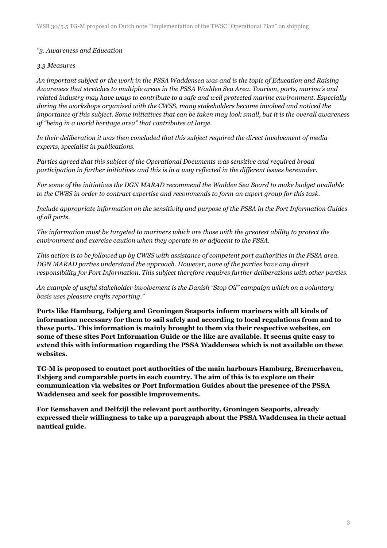### *"3. Awareness and Education*

### *3.3 Measures*

*An important subject or the work in the PSSA Waddensea was and is the topic of Education and Raising Awareness that stretches to multiple areas in the PSSA Wadden Sea Area. Tourism, ports, marina's and related industry may have ways to contribute to a safe and well protected marine environment. Especially during the workshops organised with the CWSS, many stakeholders became involved and noticed the importance of this subject. Some initiatives that can be taken may look small, but it is the overall awareness of "being in a world heritage area" that contributes at large.*

*In their deliberation it was then concluded that this subject required the direct involvement of media experts, specialist in publications.*

*Parties agreed that this subject of the Operational Documents was sensitive and required broad participation in further initiatives and this is in a way reflected in the different issues hereunder.*

*For some of the initiatives the DGN MARAD recommend the Wadden Sea Board to make budget available to the CWSS in order to contract expertise and recommends to form an expert group for this task.*

*Include appropriate information on the sensitivity and purpose of the PSSA in the Port Information Guides of all ports.*

*The information must be targeted to mariners which are those with the greatest ability to protect the environment and exercise caution when they operate in or adjacent to the PSSA.*

*This action is to be followed up by CWSS with assistance of competent port authorities in the PSSA area. DGN MARAD parties understand the approach. However, none of the parties have any direct responsibility for Port Information. This subject therefore requires further deliberations with other parties.*

*An example of useful stakeholder involvement is the Danish "Stop Oil" campaign which on a voluntary basis uses pleasure crafts reporting."*

**Ports like Hamburg, Esbjerg and Groningen Seaports inform mariners with all kinds of information necessary for them to sail safely and according to local regulations from and to these ports. This information is mainly brought to them via their respective websites, on some of these sites Port Information Guide or the like are available. It seems quite easy to extend this with information regarding the PSSA Waddensea which is not available on these websites.** 

**TG-M is proposed to contact port authorities of the main harbours Hamburg, Bremerhaven, Esbjerg and comparable ports in each country. The aim of this is to explore on their communication via websites or Port Information Guides about the presence of the PSSA Waddensea and seek for possible improvements.** 

**For Eemshaven and Delfzijl the relevant port authority, Groningen Seaports, already expressed their willingness to take up a paragraph about the PSSA Waddensea in their actual nautical guide.**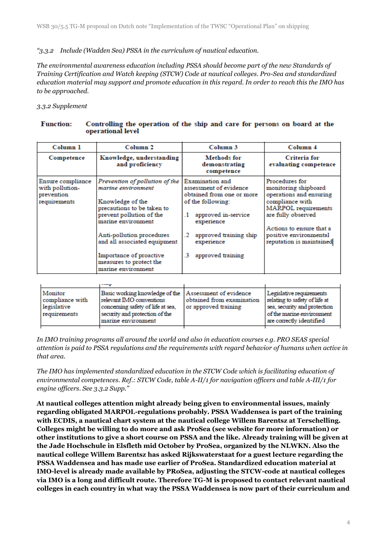### *"3.3.2 Include (Wadden Sea) PSSA in the curriculum of nautical education.*

*The environmental awareness education including PSSA should become part of the new Standards of Training Certification and Watch keeping (STCW) Code at nautical colleges. Pro-Sea and standardized education material may support and promote education in this regard. In order to reach this the IMO has to be approached.* 

### *3.3.2 Supplement*

|                                                    | орстандан каст                                                                                   |                                                                               |                                                                                |
|----------------------------------------------------|--------------------------------------------------------------------------------------------------|-------------------------------------------------------------------------------|--------------------------------------------------------------------------------|
| Column 1                                           | Column <sub>2</sub>                                                                              | Column 3                                                                      | Column 4                                                                       |
| Competence                                         | Knowledge, understanding<br>and proficiency                                                      | Methods for<br>demonstrating<br>competence                                    | <b>Criteria</b> for<br>evaluating competence                                   |
| Ensure compliance<br>with pollution-<br>prevention | Prevention of pollution of the<br>marine environment                                             | <b>Examination</b> and<br>assessment of evidence<br>obtained from one or more | Procedures for<br>monitoring shipboard<br>operations and ensuring              |
| requirements                                       | Knowledge of the<br>precautions to be taken to<br>prevent pollution of the<br>marine environment | of the following:<br>approved in-service<br>$\cdot$<br>experience             | compliance with<br><b>MARPOL</b> requirements<br>are fully observed            |
|                                                    | Anti-pollution procedures<br>and all associated equipment                                        | approved training ship<br>experience                                          | Actions to ensure that a<br>positive environmental<br>reputation is maintained |
|                                                    | Importance of proactive<br>measures to protect the<br>marine environment                         | approved training<br>.3                                                       |                                                                                |

#### Controlling the operation of the ship and care for persons on board at the **Function:** operational level

| Monitor<br>compliance with<br>legislative<br>requirements | Basic working knowledge of the Assessment of evidence<br>relevant IMO conventions<br>concerning safety of life at sea,<br>security and protection of the<br>marine environment | obtained from examination<br>or approved training | Legislative requirements<br>relating to safety of life at<br>sea, security and protection<br>of the marine environment<br>are correctly identified |
|-----------------------------------------------------------|--------------------------------------------------------------------------------------------------------------------------------------------------------------------------------|---------------------------------------------------|----------------------------------------------------------------------------------------------------------------------------------------------------|
|                                                           |                                                                                                                                                                                |                                                   |                                                                                                                                                    |

*In IMO training programs all around the world and also in education courses e.g. PRO SEAS special attention is paid to PSSA regulations and the requirements with regard behavior of humans when active in that area.*

*The IMO has implemented standardized education in the STCW Code which is facilitating education of environmental competences. Ref.: STCW Code, table A-II/1 for navigation officers and table A-III/1 for engine officers. See 3.3.2 Supp."*

**At nautical colleges attention might already being given to environmental issues, mainly regarding obligated MARPOL-regulations probably. PSSA Waddensea is part of the training with ECDIS, a nautical chart system at the nautical college Willem Barentsz at Terschelling. Colleges might be willing to do more and ask ProSea (see website for more information) or other institutions to give a short course on PSSA and the like. Already training will be given at the Jade Hochschule in Elsfleth mid October by ProSea, organized by the NLWKN. Also the nautical college Willem Barentsz has asked Rijkswaterstaat for a guest lecture regarding the PSSA Waddensea and has made use earlier of ProSea. Standardized education material at IMO-level is already made available by PRoSea, adjusting the STCW-code at nautical colleges via IMO is a long and difficult route. Therefore TG-M is proposed to contact relevant nautical colleges in each country in what way the PSSA Waddensea is now part of their curriculum and**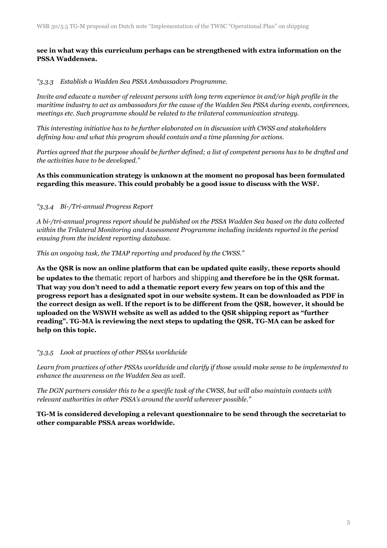### **see in what way this curriculum perhaps can be strengthened with extra information on the PSSA Waddensea.**

### *"3.3.3 Establish a Wadden Sea PSSA Ambassadors Programme.*

*Invite and educate a number of relevant persons with long term experience in and/or high profile in the maritime industry to act as ambassadors for the cause of the Wadden Sea PSSA during events, conferences, meetings etc. Such programme should be related to the trilateral communication strategy.* 

*This interesting initiative has to be further elaborated on in discussion with CWSS and stakeholders defining how and what this program should contain and a time planning for actions.*

*Parties agreed that the purpose should be further defined; a list of competent persons has to be drafted and the activities have to be developed."*

### **As this communication strategy is unknown at the moment no proposal has been formulated regarding this measure. This could probably be a good issue to discuss with the WSF.**

### *"3.3.4 Bi-/Tri-annual Progress Report*

*A bi-/tri-annual progress report should be published on the PSSA Wadden Sea based on the data collected within the Trilateral Monitoring and Assessment Programme including incidents reported in the period ensuing from the incident reporting database.*

*This an ongoing task, the TMAP reporting and produced by the CWSS."*

**As the QSR is now an online platform that can be updated quite easily, these reports should be updates to the** [thematic report of harbors and shipping](https://qsr.waddensea-worldheritage.org/reports/harbours-and-shipping) **and therefore be in the QSR format. That way you don't need to add a thematic report every few years on top of this and the progress report has a designated spot in our website system. It can be downloaded as PDF in the correct design as well. If the report is to be different from the QSR, however, it should be uploaded on the WSWH website as well as added to the QSR shipping report as "further reading". TG-MA is reviewing the next steps to updating the QSR, TG-MA can be asked for help on this topic.**

### *"3.3.5 Look at practices of other PSSAs worldwide*

*Learn from practices of other PSSAs worldwide and clarify if those would make sense to be implemented to enhance the awareness on the Wadden Sea as well.*

*The DGN partners consider this to be a specific task of the CWSS, but will also maintain contacts with relevant authorities in other PSSA's around the world wherever possible."*

### **TG-M is considered developing a relevant questionnaire to be send through the secretariat to other comparable PSSA areas worldwide.**